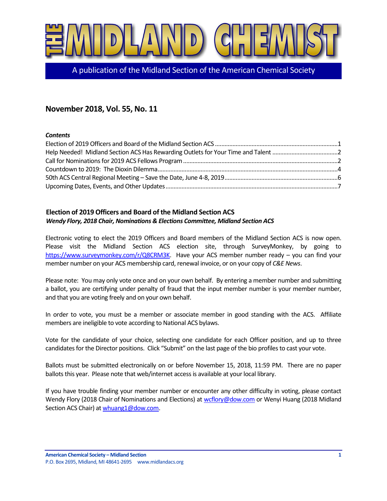

A publication of the Midland Section of the American Chemical Society

# **November 2018, Vol. 55, No. 11**

#### *Contents*

# <span id="page-0-0"></span>**Election of 2019 Officers and Board of the Midland Section ACS** *Wendy Flory, 2018 Chair, Nominations & Elections Committee, Midland Section ACS*

Electronic voting to elect the 2019 Officers and Board members of the Midland Section ACS is now open. Please visit the Midland Section ACS election site, through SurveyMonkey, by going to [https://www.surveymonkey.com/r/Q8CRM3K.](https://www.surveymonkey.com/r/Q8CRM3K) Have your ACS member number ready – you can find your member number on your ACS membership card, renewal invoice, or on your copy of *C&E News*.

Please note: You may only vote once and on your own behalf. By entering a member number and submitting a ballot, you are certifying under penalty of fraud that the input member number is your member number, and that you are voting freely and on your own behalf.

In order to vote, you must be a member or associate member in good standing with the ACS. Affiliate members are ineligible to vote according to National ACS bylaws.

Vote for the candidate of your choice, selecting one candidate for each Officer position, and up to three candidates for the Director positions. Click "Submit" on the last page of the bio profiles to cast your vote.

Ballots must be submitted electronically on or before November 15, 2018, 11:59 PM. There are no paper ballots this year. Please note that web/internet access is available at your local library.

If you have trouble finding your member number or encounter any other difficulty in voting, please contact Wendy Flory (2018 Chair of Nominations and Elections) a[t wcflory@dow.com](mailto:wcflory@dow.com) or Wenyi Huang (2018 Midland Section ACS Chair) a[t whuang1@dow.com.](mailto:whuang1@dow.com)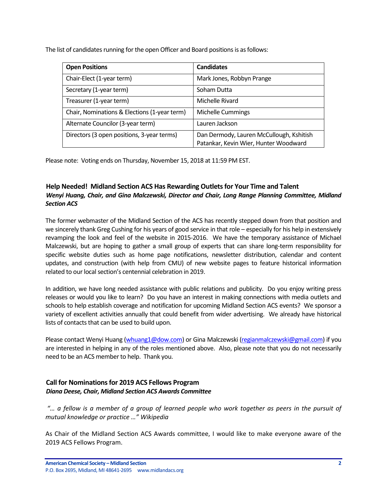The list of candidates running for the open Officer and Board positions is as follows:

| <b>Open Positions</b>                        | <b>Candidates</b>                                                                 |
|----------------------------------------------|-----------------------------------------------------------------------------------|
| Chair-Elect (1-year term)                    | Mark Jones, Robbyn Prange                                                         |
| Secretary (1-year term)                      | Soham Dutta                                                                       |
| Treasurer (1-year term)                      | Michelle Rivard                                                                   |
| Chair, Nominations & Elections (1-year term) | Michelle Cummings                                                                 |
| Alternate Councilor (3-year term)            | Lauren Jackson                                                                    |
| Directors (3 open positions, 3-year terms)   | Dan Dermody, Lauren McCullough, Kshitish<br>Patankar, Kevin Wier, Hunter Woodward |

Please note: Voting ends on Thursday, November 15, 2018 at 11:59 PM EST.

# <span id="page-1-0"></span>**Help Needed! Midland Section ACS Has Rewarding Outlets for Your Time and Talent** *Wenyi Huang, Chair, and Gina Malczewski, Director and Chair, Long Range Planning Committee, Midland Section ACS*

The former webmaster of the Midland Section of the ACS has recently stepped down from that position and we sincerely thank Greg Cushing for his years of good service in that role – especially for his help in extensively revamping the look and feel of the website in 2015-2016. We have the temporary assistance of Michael Malczewski, but are hoping to gather a small group of experts that can share long-term responsibility for specific website duties such as home page notifications, newsletter distribution, calendar and content updates, and construction (with help from CMU) of new website pages to feature historical information related to our local section's centennial celebration in 2019.

In addition, we have long needed assistance with public relations and publicity. Do you enjoy writing press releases or would you like to learn? Do you have an interest in making connections with media outlets and schools to help establish coverage and notification for upcoming Midland Section ACS events? We sponsor a variety of excellent activities annually that could benefit from wider advertising. We already have historical lists of contacts that can be used to build upon.

Please contact Wenyi Huang [\(whuang1@dow.com\)](mailto:whuang1@dow.com) or Gina Malczewski [\(regianmalczewski@gmail.com\)](mailto:regianmalczewski@gmail.com) if you are interested in helping in any of the roles mentioned above. Also, please note that you do not necessarily need to be an ACS member to help. Thank you.

## <span id="page-1-1"></span>**Call for Nominations for 2019 ACS Fellows Program** *Diana Deese, Chair, Midland Section ACS Awards Committee*

*"… a fellow is a member of a group of learned people who work together as peers in the pursuit of mutual knowledge or practice …" Wikipedia*

As Chair of the Midland Section ACS Awards committee, I would like to make everyone aware of the 2019 ACS Fellows Program.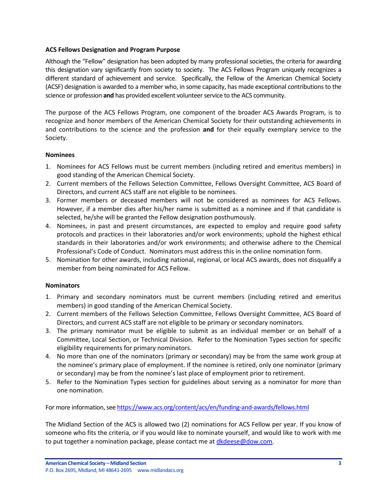#### **ACS Fellows Designation and Program Purpose**

Although the "Fellow" designation has been adopted by many professional societies, the criteria for awarding this designation vary significantly from society to society. The ACS Fellows Program uniquely recognizes a different standard of achievement and service. Specifically, the Fellow of the American Chemical Society (ACSF) designation is awarded to a member who, in some capacity, has made exceptional contributions to the science or profession **and** has provided excellent volunteer service to the ACS community.

The purpose of the ACS Fellows Program, one component of the broader ACS Awards Program, is to recognize and honor members of the American Chemical Society for their outstanding achievements in and contributions to the science and the profession **and** for their equally exemplary service to the Society.

#### **Nominees**

- 1. Nominees for ACS Fellows must be current members (including retired and emeritus members) in good standing of the American Chemical Society.
- 2. Current members of the Fellows Selection Committee, Fellows Oversight Committee, ACS Board of Directors, and current ACS staff are not eligible to be nominees.
- 3. Former members or deceased members will not be considered as nominees for ACS Fellows. However, if a member dies after his/her name is submitted as a nominee and if that candidate is selected, he/she will be granted the Fellow designation posthumously.
- 4. Nominees, in past and present circumstances, are expected to employ and require good safety protocols and practices in their laboratories and/or work environments; uphold the highest ethical standards in their laboratories and/or work environments; and otherwise adhere to the Chemical Professional's Code of Conduct. Nominators must address this in the online nomination form.
- 5. Nomination for other awards, including national, regional, or local ACS awards, does not disqualify a member from being nominated for ACS Fellow.

#### **Nominators**

- 1. Primary and secondary nominators must be current members (including retired and emeritus members) in good standing of the American Chemical Society.
- 2. Current members of the Fellows Selection Committee, Fellows Oversight Committee, ACS Board of Directors, and current ACS staff are not eligible to be primary or secondary nominators.
- 3. The primary nominator must be eligible to submit as an individual member or on behalf of a Committee, Local Section, or Technical Division. Refer to the Nomination Types section for specific eligibility requirements for primary nominators.
- 4. No more than one of the nominators (primary or secondary) may be from the same work group at the nominee's primary place of employment. If the nominee is retired, only one nominator (primary or secondary) may be from the nominee's last place of employment prior to retirement.
- 5. Refer to the Nomination Types section for guidelines about serving as a nominator for more than one nomination.

For more information, see <https://www.acs.org/content/acs/en/funding-and-awards/fellows.html>

The Midland Section of the ACS is allowed two (2) nominations for ACS Fellow per year. If you know of someone who fits the criteria, or if you would like to nominate yourself, and would like to work with me to put together a nomination package, please contact me a[t dkdeese@dow.com.](mailto:dkdeese@dow.com)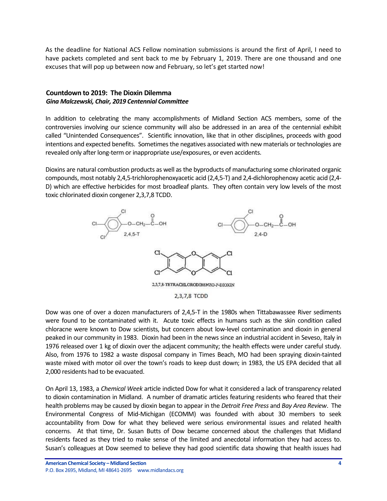As the deadline for National ACS Fellow nomination submissions is around the first of April, I need to have packets completed and sent back to me by February 1, 2019. There are one thousand and one excuses that will pop up between now and February, so let's get started now!

## <span id="page-3-0"></span>**Countdown to 2019: The Dioxin Dilemma** *Gina Malczewski, Chair, 2019 Centennial Committee*

In addition to celebrating the many accomplishments of Midland Section ACS members, some of the controversies involving our science community will also be addressed in an area of the centennial exhibit called "Unintended Consequences". Scientific innovation, like that in other disciplines, proceeds with good intentions and expected benefits. Sometimes the negatives associated with new materials or technologies are revealed only after long-term or inappropriate use/exposures, or even accidents.

Dioxins are natural combustion products as well as the byproducts of manufacturing some chlorinated organic compounds, most notably 2,4,5-trichlorophenoxyacetic acid (2,4,5-T) and 2,4-dichlorophenoxy acetic acid (2,4- D) which are effective herbicides for most broadleaf plants. They often contain very low levels of the most toxic chlorinated dioxin congener 2,3,7,8 TCDD.



Dow was one of over a dozen manufacturers of 2,4,5-T in the 1980s when Tittabawassee River sediments were found to be contaminated with it. Acute toxic effects in humans such as the skin condition called chloracne were known to Dow scientists, but concern about low-level contamination and dioxin in general peaked in our community in 1983. Dioxin had been in the news since an industrial accident in Seveso, Italy in 1976 released over 1 kg of dioxin over the adjacent community; the health effects were under careful study. Also, from 1976 to 1982 a waste disposal company in Times Beach, MO had been spraying dioxin-tainted waste mixed with motor oil over the town's roads to keep dust down; in 1983, the US EPA decided that all 2,000 residents had to be evacuated.

On April 13, 1983, a *Chemical Week* article indicted Dow for what it considered a lack of transparency related to dioxin contamination in Midland. A number of dramatic articles featuring residents who feared that their health problems may be caused by dioxin began to appear in the *Detroit Free Press* and *Bay Area Review*. The Environmental Congress of Mid-Michigan (ECOMM) was founded with about 30 members to seek accountability from Dow for what they believed were serious environmental issues and related health concerns. At that time, Dr. Susan Butts of Dow became concerned about the challenges that Midland residents faced as they tried to make sense of the limited and anecdotal information they had access to. Susan's colleagues at Dow seemed to believe they had good scientific data showing that health issues had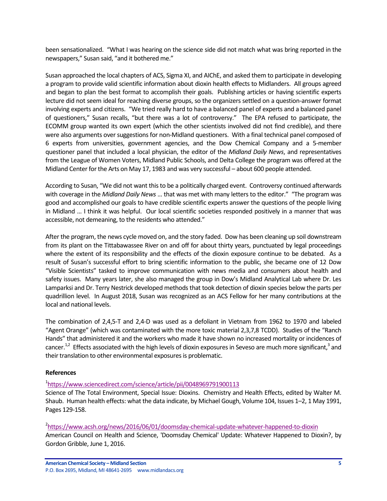been sensationalized. "What I was hearing on the science side did not match what was bring reported in the newspapers," Susan said, "and it bothered me."

Susan approached the local chapters of ACS, Sigma XI, and AIChE, and asked them to participate in developing a program to provide valid scientific information about dioxin health effects to Midlanders. All groups agreed and began to plan the best format to accomplish their goals. Publishing articles or having scientific experts lecture did not seem ideal for reaching diverse groups, so the organizers settled on a question-answer format involving experts and citizens. "We tried really hard to have a balanced panel of experts and a balanced panel of questioners," Susan recalls, "but there was a lot of controversy." The EPA refused to participate, the ECOMM group wanted its own expert (which the other scientists involved did not find credible), and there were also arguments over suggestions for non-Midland questioners. With a final technical panel composed of 6 experts from universities, government agencies, and the Dow Chemical Company and a 5-member questioner panel that included a local physician, the editor of the *Midland Daily News*, and representatives from the League of Women Voters, Midland Public Schools, and Delta College the program was offered at the Midland Center for the Arts on May 17, 1983 and was very successful – about 600 people attended.

According to Susan, "We did not want this to be a politically charged event. Controversy continued afterwards with coverage in the *Midland Daily News* … that was met with many letters to the editor." "The program was good and accomplished our goals to have credible scientific experts answer the questions of the people living in Midland … I think it was helpful. Our local scientific societies responded positively in a manner that was accessible, not demeaning, to the residents who attended."

After the program, the news cycle moved on, and the story faded. Dow has been cleaning up soil downstream from its plant on the Tittabawassee River on and off for about thirty years, punctuated by legal proceedings where the extent of its responsibility and the effects of the dioxin exposure continue to be debated. As a result of Susan's successful effort to bring scientific information to the public, she became one of 12 Dow "Visible Scientists" tasked to improve communication with news media and consumers about health and safety issues. Many years later, she also managed the group in Dow's Midland Analytical Lab where Dr. Les Lamparksi and Dr. Terry Nestrick developed methods that took detection of dioxin species below the parts per quadrillion level. In August 2018, Susan was recognized as an ACS Fellow for her many contributions at the local and national levels.

The combination of 2,4,5-T and 2,4-D was used as a defoliant in Vietnam from 1962 to 1970 and labeled "Agent Orange" (which was contaminated with the more toxic material 2,3,7,8 TCDD). Studies of the "Ranch Hands" that administered it and the workers who made it have shown no increased mortality or incidences of cancer.<sup>1,2</sup> Effects associated with the high levels of dioxin exposures in Seveso are much more significant,<sup>3</sup> and their translation to other environmental exposures is problematic.

#### **References**

## <sup>1</sup><https://www.sciencedirect.com/science/article/pii/0048969791900113>

Science of The Total Environment, Special Issue: Dioxins. Chemistry and Health Effects, edited by Walter M. Shaub. Human health effects: what the data indicate, by Michael Gough, Volume 104, Issues 1–2, 1 May 1991, Pages 129-158.

## 2 <https://www.acsh.org/news/2016/06/01/doomsday-chemical-update-whatever-happened-to-dioxin>

American Council on Health and Science, 'Doomsday Chemical' Update: Whatever Happened to Dioxin?, by Gordon Gribble, June 1, 2016.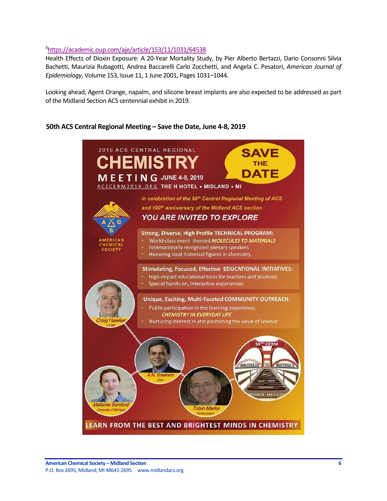## 3 <https://academic.oup.com/aje/article/153/11/1031/64538>

Health Effects of Dioxin Exposure: A 20-Year Mortality Study, by Pier Alberto Bertazzi, Dario Consonni Silvia Bachetti, Maurizia Rubagotti, Andrea Baccarelli Carlo Zocchetti, and Angela C. Pesatori, *American Journal of Epidemiology*, Volume 153, Issue 11, 1 June 2001, Pages 1031–1044.

Looking ahead, Agent Orange, napalm, and silicone breast implants are also expected to be addressed as part of the Midland Section ACS centennial exhibit in 2019.

## <span id="page-5-0"></span>**50th ACS Central Regional Meeting – Save the Date, June 4-8, 2019**

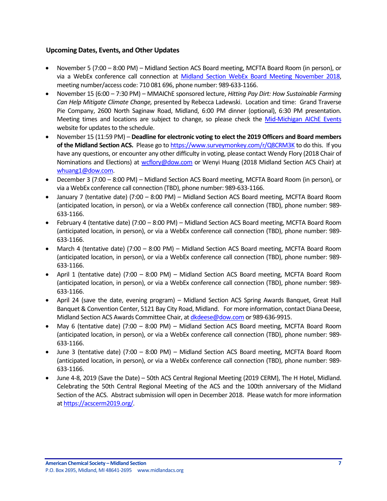## <span id="page-6-0"></span>**Upcoming Dates, Events, and Other Updates**

- November 5 (7:00 8:00 PM) Midland Section ACS Board meeting, MCFTA Board Room (in person), or via a WebEx conference call connection at [Midland Section WebEx Board Meeting November 2018,](https://dow.webex.com/mw3100/mywebex/default.do?service=1&main_url=%2Fmc3100%2Fe.do%3Fsiteurl%3Ddow%26AT%3DMI%26EventID%3D728848707%26MTID%3Dm06188ee0c57f260ada4eaac3fccebb8d%26Host%3DQUhTSwAAAAQLDJMk1PlIuAf5fKb2BP3ZR8kHTIHl28BhHBYQ8WzxOlnQSmrNS9LwDrOG5T-Ozw5PiTW0ulIDpel0ZEFsl6lb0%26FrameSet%3D2&siteurl=dow&nomenu=true) meeting number/access code: 710 081 696, phone number: 989-633-1166.
- November 15 (6:00 7:30 PM) MMAIChE sponsored lecture, *Hitting Pay Dirt: How Sustainable Farming Can Help Mitigate Climate Change,* presented by Rebecca Ladewski. Location and time: Grand Traverse Pie Company, 2600 North Saginaw Road, Midland, 6:00 PM dinner (optional), 6:30 PM presentation. Meeting times and locations are subject to change, so please check the [Mid-Michigan AIChE Events](https://www.aiche.org/community/sites/local-sections/mid-michigan/events) website for updates to the schedule.
- November 15 (11:59 PM) **Deadline for electronic voting to elect the 2019 Officers and Board members of the Midland Section ACS.** Please go t[o https://www.surveymonkey.com/r/Q8CRM3K](https://www.surveymonkey.com/r/Q8CRM3K) to do this. If you have any questions, or encounter any other difficulty in voting, please contact Wendy Flory (2018 Chair of Nominations and Elections) at [wcflory@dow.com](mailto:wcflory@dow.com) or Wenyi Huang (2018 Midland Section ACS Chair) at [whuang1@dow.com.](mailto:whuang1@dow.com)
- December 3 (7:00 8:00 PM) Midland Section ACS Board meeting, MCFTA Board Room (in person), or via a WebEx conference call connection (TBD), phone number: 989-633-1166.
- January 7 (tentative date) (7:00 8:00 PM) Midland Section ACS Board meeting, MCFTA Board Room (anticipated location, in person), or via a WebEx conference call connection (TBD), phone number: 989- 633-1166.
- February 4 (tentative date) (7:00 8:00 PM) Midland Section ACS Board meeting, MCFTA Board Room (anticipated location, in person), or via a WebEx conference call connection (TBD), phone number: 989- 633-1166.
- March 4 (tentative date) (7:00 8:00 PM) Midland Section ACS Board meeting, MCFTA Board Room (anticipated location, in person), or via a WebEx conference call connection (TBD), phone number: 989- 633-1166.
- April 1 (tentative date) (7:00 8:00 PM) Midland Section ACS Board meeting, MCFTA Board Room (anticipated location, in person), or via a WebEx conference call connection (TBD), phone number: 989- 633-1166.
- April 24 (save the date, evening program) Midland Section ACS Spring Awards Banquet, Great Hall Banquet & Convention Center, 5121 Bay City Road, Midland. For more information, contact Diana Deese, Midland Section ACS Awards Committee Chair, a[t dkdeese@dow.com](mailto:dkdeese@dow.com) or 989-636-9915.
- May 6 (tentative date) (7:00 8:00 PM) Midland Section ACS Board meeting, MCFTA Board Room (anticipated location, in person), or via a WebEx conference call connection (TBD), phone number: 989- 633-1166.
- June 3 (tentative date) (7:00 8:00 PM) Midland Section ACS Board meeting, MCFTA Board Room (anticipated location, in person), or via a WebEx conference call connection (TBD), phone number: 989- 633-1166.
- June 4-8, 2019 (Save the Date) 50th ACS Central Regional Meeting (2019 CERM), The H Hotel, Midland. Celebrating the 50th Central Regional Meeting of the ACS and the 100th anniversary of the Midland Section of the ACS. Abstract submission will open in December 2018. Please watch for more information a[t https://acscerm2019.org/.](https://acscerm2019.org/)